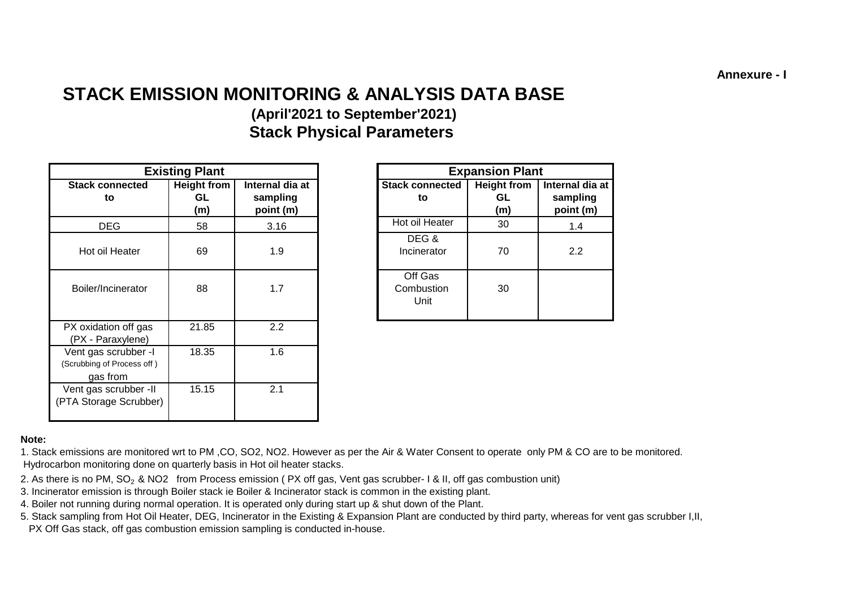**Annexure - I**

# **STACK EMISSION MONITORING & ANALYSIS DATA BASE**

# **(April'2021 to September'2021) Stack Physical Parameters**

|                | <b>Existing Plant</b>    |                                          |                               | <b>Expansion Plant</b>          |                                          |
|----------------|--------------------------|------------------------------------------|-------------------------------|---------------------------------|------------------------------------------|
| onnected<br>to | Height from<br>GL<br>(m) | Internal dia at<br>sampling<br>point (m) | <b>Stack connected</b><br>to  | <b>Height from</b><br>GL<br>(m) | Internal dia at<br>sampling<br>point (m) |
| ιEG            | 58                       | 3.16                                     | Hot oil Heater                | 30                              | 1.4                                      |
| I Heater       | 69                       | 1.9                                      | DEG&<br>Incinerator           | 70                              | 2.2                                      |
| ncinerator     | 88                       | 1.7                                      | Off Gas<br>Combustion<br>Unit | 30                              |                                          |

#### **Note:**

1. Stack emissions are monitored wrt to PM ,CO, SO2, NO2. However as per the Air & Water Consent to operate only PM & CO are to be monitored. Hydrocarbon monitoring done on quarterly basis in Hot oil heater stacks.

- 2. As there is no PM,  $SO_2$  & NO2 from Process emission (PX off gas, Vent gas scrubber- I & II, off gas combustion unit)
- 3. Incinerator emission is through Boiler stack ie Boiler & Incinerator stack is common in the existing plant.
- 4. Boiler not running during normal operation. It is operated only during start up & shut down of the Plant.
- PX Off Gas stack, off gas combustion emission sampling is conducted in-house. 5. Stack sampling from Hot Oil Heater, DEG, Incinerator in the Existing & Expansion Plant are conducted by third party, whereas for vent gas scrubber I,II,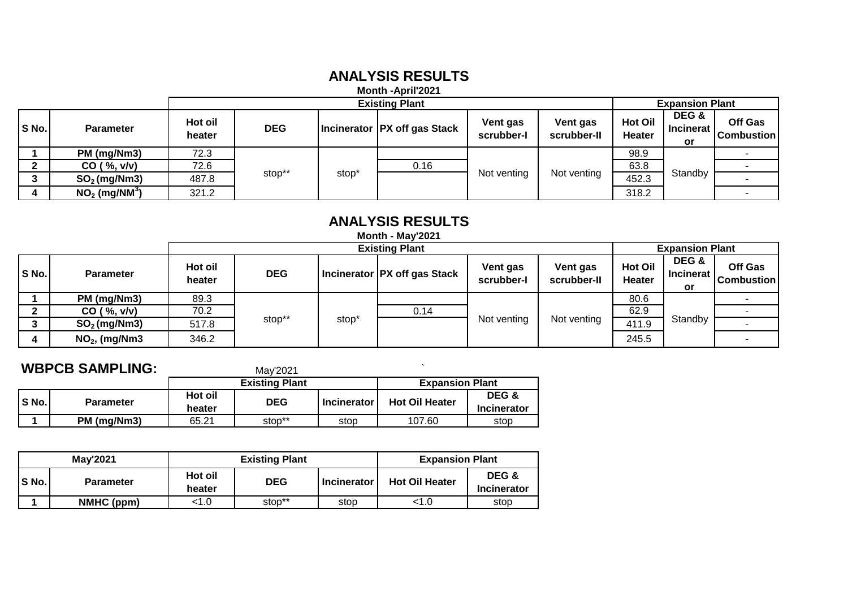## **ANALYSIS RESULTS**

**Month -April'2021**

|       |                             |                   |            |       | <b>Existing Plant</b>          |                        |                         |                          | <b>Expansion Plant</b>   |                                     |  |
|-------|-----------------------------|-------------------|------------|-------|--------------------------------|------------------------|-------------------------|--------------------------|--------------------------|-------------------------------------|--|
| S No. | <b>Parameter</b>            | Hot oil<br>heater | <b>DEG</b> |       | Incinerator   PX off gas Stack | Vent gas<br>scrubber-I | Vent gas<br>scrubber-II | <b>Hot Oil</b><br>Heater | DEG &<br>Incinerat<br>or | <b>Off Gas</b><br><b>Combustion</b> |  |
|       | PM (mg/Nm3)                 | 72.3              |            |       |                                |                        |                         | 98.9                     |                          |                                     |  |
|       | CO ( %, v/v)                | 72.6              |            |       |                                | 0.16                   |                         |                          | 63.8                     |                                     |  |
| ◠     | $SO2$ (mg/Nm3)              | 487.8             | stop**     | stop' |                                | Not venting            | Not venting             | 452.3                    | Standby                  |                                     |  |
|       | $NO2$ (mg/NM <sup>3</sup> ) | 321.2             |            |       |                                |                        |                         | 318.2                    |                          |                                     |  |

# **ANALYSIS RESULTS**

|                       |                  |                   |            |       | <b>Month - May'2021</b>        |                        |                         |                                 |                           |                        |
|-----------------------|------------------|-------------------|------------|-------|--------------------------------|------------------------|-------------------------|---------------------------------|---------------------------|------------------------|
| <b>Existing Plant</b> |                  |                   |            |       |                                |                        |                         | <b>Expansion Plant</b>          |                           |                        |
| S No.                 | <b>Parameter</b> | Hot oil<br>heater | <b>DEG</b> |       | Incinerator   PX off gas Stack | Vent gas<br>scrubber-I | Vent gas<br>scrubber-II | <b>Hot Oil</b><br><b>Heater</b> | DEG &<br>Incinerat<br>or. | Off Gas<br> Combustion |
|                       | PM (mg/Nm3)      | 89.3              |            |       |                                |                        |                         | 80.6                            |                           |                        |
|                       | CO ( %, v/v)     | 70.2              |            |       | 0.14                           |                        |                         | 62.9                            |                           |                        |
| $\bullet$             | $SO2$ (mg/Nm3)   | 517.8             | stop**     | stop' |                                | Not venting            | Not venting             | 411.9                           | Standby                   |                        |
| 4                     | $NO2$ , (mg/Nm3  | 346.2             |            |       |                                |                        |                         | 245.5                           |                           |                        |

# **WBPCB SAMPLING:** May'2021

|       |                  |                   | <b>Existing Plant</b> |                    | <b>Expansion Plant</b> |                             |
|-------|------------------|-------------------|-----------------------|--------------------|------------------------|-----------------------------|
| S No. | <b>Parameter</b> | Hot oil<br>heater | <b>DEG</b>            | <b>Incinerator</b> | <b>Hot Oil Heater</b>  | DEG &<br><b>Incinerator</b> |
|       | PM (mg/Nm3)      | 65.21             | stop**                | stop               | 107.60                 | stop                        |

|       | <b>Mav'2021</b>  |                   | <b>Existing Plant</b> | <b>Expansion Plant</b> |                       |                             |
|-------|------------------|-------------------|-----------------------|------------------------|-----------------------|-----------------------------|
| S No. | <b>Parameter</b> | Hot oil<br>heater | <b>DEG</b>            | <b>Incinerator</b>     | <b>Hot Oil Heater</b> | DEG &<br><b>Incinerator</b> |
|       | NMHC (ppm)       | <1.0              | stop**                | stop                   | < 1.0                 | stop                        |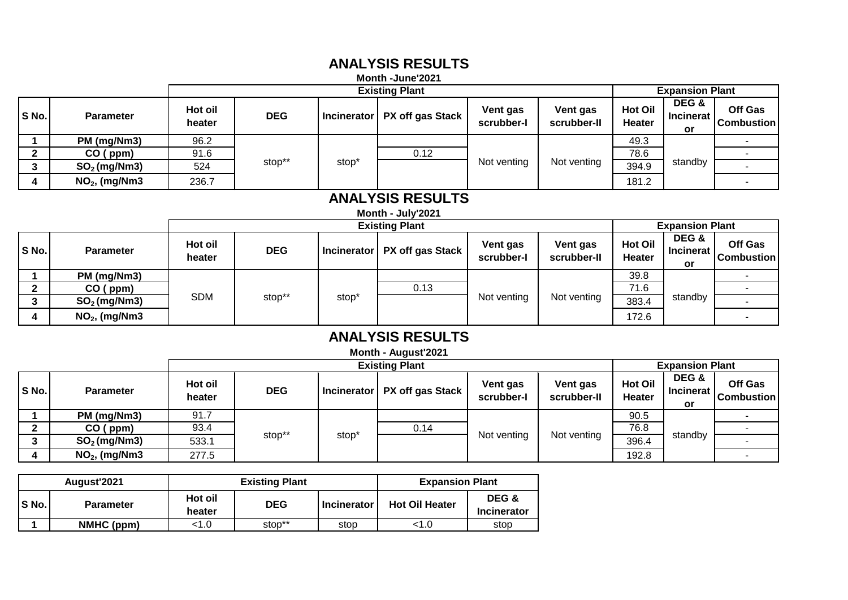### **Month -June'2021 ANALYSIS RESULTS**

|       |                  |                   |            |                   | <b>MONTH</b> -JUNE ZUZ I         |                        |                         |                                 |                                 |                              |
|-------|------------------|-------------------|------------|-------------------|----------------------------------|------------------------|-------------------------|---------------------------------|---------------------------------|------------------------------|
|       |                  |                   |            |                   | <b>Existing Plant</b>            |                        |                         |                                 | <b>Expansion Plant</b>          |                              |
| S No. | <b>Parameter</b> | Hot oil<br>heater | <b>DEG</b> |                   | Incinerator   PX off gas Stack ' | Vent gas<br>scrubber-I | Vent gas<br>scrubber-II | <b>Hot Oil</b><br><b>Heater</b> | DEG &<br><b>Incinerat</b><br>or | Off Gas<br><b>Combustion</b> |
|       | PM (mg/Nm3)      | 96.2              |            |                   |                                  |                        |                         | 49.3                            |                                 |                              |
| ົ     | CO (ppm)         | 91.6              |            |                   | 0.12                             |                        |                         | 78.6                            |                                 |                              |
| ົ     | $SO2$ (mg/Nm3)   | 524               | stop**     | stop <sup>*</sup> |                                  | Not venting            | Not venting             | 394.9                           | standby                         |                              |
| 4     | $NO2$ , (mg/Nm3  | 236.7             |            |                   |                                  |                        |                         | 181.2                           |                                 |                              |

### **ANALYSIS RESULTS**

**Month - July'2021**

|         |                  |                   |            |                            | <b>Existing Plant</b> |                        |                         | <b>Expansion Plant</b>   |                                 |                              |
|---------|------------------|-------------------|------------|----------------------------|-----------------------|------------------------|-------------------------|--------------------------|---------------------------------|------------------------------|
| S No.   | <b>Parameter</b> | Hot oil<br>heater | <b>DEG</b> | I Incinerator <sup>1</sup> | PX off gas Stack      | Vent gas<br>scrubber-l | Vent gas<br>scrubber-II | <b>Hot Oil</b><br>Heater | DEG &<br><b>Incinerat</b><br>or | Off Gas<br><b>Combustion</b> |
|         | PM (mg/Nm3)      |                   |            |                            |                       |                        |                         | 39.8                     |                                 |                              |
|         | CO (ppm)         |                   |            |                            | 0.13                  |                        |                         | 71.6                     |                                 |                              |
| ◠<br>J. | $SO2$ (mg/Nm3)   | <b>SDM</b>        | stop**     | stop <sup>*</sup>          |                       | Not venting            | Not venting             | 383.4                    | standby                         |                              |
|         | $NO2$ , (mg/Nm3  |                   |            |                            |                       |                        |                         | 172.6                    |                                 |                              |

#### **ANALYSIS RESULTS Month - August'2021**

|       |                       |                   |            |                   | Month - August 2021 |                        |                         |                          |                                 |                              |  |
|-------|-----------------------|-------------------|------------|-------------------|---------------------|------------------------|-------------------------|--------------------------|---------------------------------|------------------------------|--|
|       | <b>Existing Plant</b> |                   |            |                   |                     |                        |                         |                          | <b>Expansion Plant</b>          |                              |  |
| S No. | <b>Parameter</b>      | Hot oil<br>heater | <b>DEG</b> | Incinerator       | PX off gas Stack    | Vent gas<br>scrubber-l | Vent gas<br>scrubber-II | <b>Hot Oil</b><br>Heater | DEG &<br><b>Incinerat</b><br>or | Off Gas<br><b>Combustion</b> |  |
|       | PM (mg/Nm3)           | 91.7              |            |                   |                     |                        |                         | 90.5                     |                                 |                              |  |
|       | CO (ppm)              | 93.4              |            |                   | 0.14                |                        |                         | 76.8                     |                                 |                              |  |
| 3     | $SO2$ (mg/Nm3)        | 533.1             | stop**     | stop <sup>*</sup> |                     | Not venting            | Not venting             | 396.4                    | standby                         |                              |  |
|       | $NO2$ , (mg/Nm3       | 277.5             |            |                   |                     |                        |                         | 192.8                    |                                 |                              |  |

|       | August'2021      |                   | <b>Existing Plant</b>            | <b>Expansion Plant</b> |                       |                             |
|-------|------------------|-------------------|----------------------------------|------------------------|-----------------------|-----------------------------|
| S No. | <b>Parameter</b> | Hot oil<br>heater | <b>DEG</b><br><b>Incinerator</b> |                        | <b>Hot Oil Heater</b> | DEG &<br><b>Incinerator</b> |
|       | NMHC (ppm)       | <1.0              | stop**                           | stop                   | <1.0                  | stop                        |